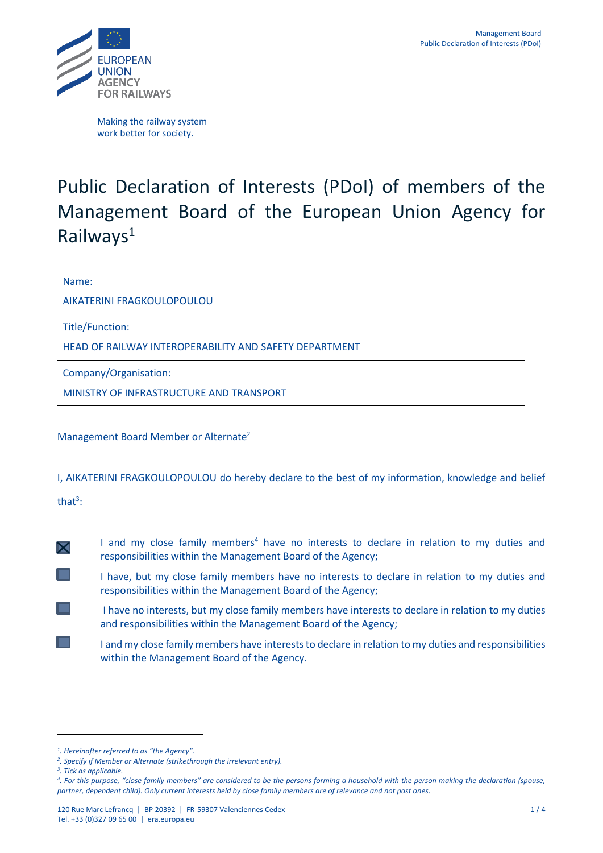

Making the railway system work better for society.

## Public Declaration of Interests (PDoI) of members of the Management Board of the European Union Agency for Railways<sup>1</sup>

Name:

AIKATERINI FRAGKOULOPOULOU

Title/Function:

HEAD OF RAILWAY INTEROPERABILITY AND SAFETY DEPARTMENT

Company/Organisation:

MINISTRY OF INFRASTRUCTURE AND TRANSPORT

Management Board Member or Alternate<sup>2</sup>

I, AIKATERINI FRAGKOULOPOULOU do hereby declare to the best of my information, knowledge and belief

that<sup>3</sup>:

- 
- $\blacktriangleright$  I and my close family members<sup>4</sup> have no interests to declare in relation to my duties and responsibilities within the Management Board of the Agency;
	- I have, but my close family members have no interests to declare in relation to my duties and responsibilities within the Management Board of the Agency;
	- I have no interests, but my close family members have interests to declare in relation to my duties and responsibilities within the Management Board of the Agency;
	- I and my close family members have interests to declare in relation to my duties and responsibilities within the Management Board of the Agency.

*<sup>1</sup> . Hereinafter referred to as "the Agency".*

*<sup>2</sup> . Specify if Member or Alternate (strikethrough the irrelevant entry).*

*<sup>3</sup> . Tick as applicable.*

*<sup>4</sup> . For this purpose, "close family members" are considered to be the persons forming a household with the person making the declaration (spouse, partner, dependent child). Only current interests held by close family members are of relevance and not past ones.*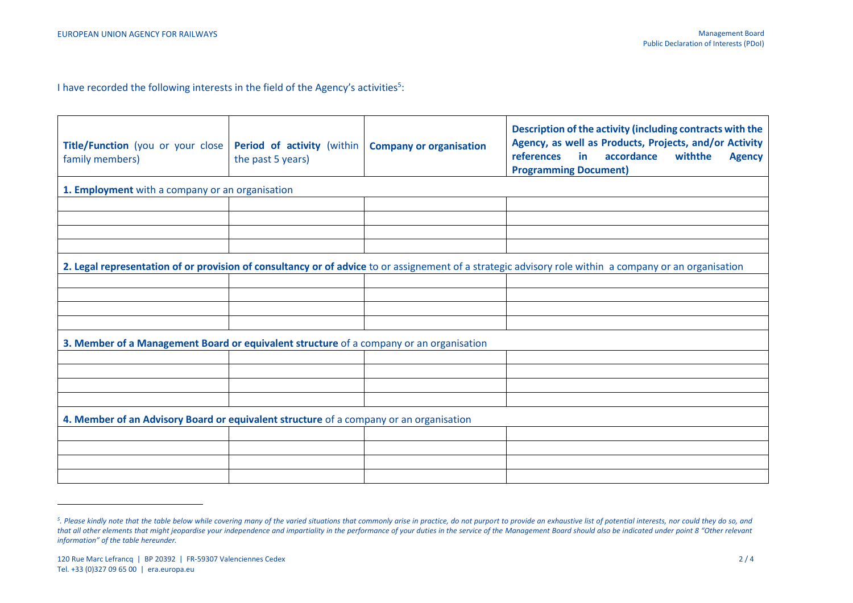I have recorded the following interests in the field of the Agency's activities<sup>5</sup>:

| Title/Function (you or your close<br>family members)                                                                                                   | <b>Period of activity (within)</b><br>the past 5 years) | <b>Company or organisation</b> | Description of the activity (including contracts with the<br>Agency, as well as Products, Projects, and/or Activity<br>references<br>accordance<br>withthe<br>in<br><b>Agency</b><br><b>Programming Document)</b> |  |
|--------------------------------------------------------------------------------------------------------------------------------------------------------|---------------------------------------------------------|--------------------------------|-------------------------------------------------------------------------------------------------------------------------------------------------------------------------------------------------------------------|--|
| 1. Employment with a company or an organisation                                                                                                        |                                                         |                                |                                                                                                                                                                                                                   |  |
|                                                                                                                                                        |                                                         |                                |                                                                                                                                                                                                                   |  |
|                                                                                                                                                        |                                                         |                                |                                                                                                                                                                                                                   |  |
|                                                                                                                                                        |                                                         |                                |                                                                                                                                                                                                                   |  |
|                                                                                                                                                        |                                                         |                                |                                                                                                                                                                                                                   |  |
| 2. Legal representation of or provision of consultancy or of advice to or assignement of a strategic advisory role within a company or an organisation |                                                         |                                |                                                                                                                                                                                                                   |  |
|                                                                                                                                                        |                                                         |                                |                                                                                                                                                                                                                   |  |
|                                                                                                                                                        |                                                         |                                |                                                                                                                                                                                                                   |  |
|                                                                                                                                                        |                                                         |                                |                                                                                                                                                                                                                   |  |
|                                                                                                                                                        |                                                         |                                |                                                                                                                                                                                                                   |  |
| 3. Member of a Management Board or equivalent structure of a company or an organisation                                                                |                                                         |                                |                                                                                                                                                                                                                   |  |
|                                                                                                                                                        |                                                         |                                |                                                                                                                                                                                                                   |  |
|                                                                                                                                                        |                                                         |                                |                                                                                                                                                                                                                   |  |
|                                                                                                                                                        |                                                         |                                |                                                                                                                                                                                                                   |  |
|                                                                                                                                                        |                                                         |                                |                                                                                                                                                                                                                   |  |
| 4. Member of an Advisory Board or equivalent structure of a company or an organisation                                                                 |                                                         |                                |                                                                                                                                                                                                                   |  |
|                                                                                                                                                        |                                                         |                                |                                                                                                                                                                                                                   |  |
|                                                                                                                                                        |                                                         |                                |                                                                                                                                                                                                                   |  |
|                                                                                                                                                        |                                                         |                                |                                                                                                                                                                                                                   |  |
|                                                                                                                                                        |                                                         |                                |                                                                                                                                                                                                                   |  |

<sup>&</sup>lt;sup>5</sup>. Please kindly note that the table below while covering many of the varied situations that commonly arise in practice, do not purport to provide an exhaustive list of potential interests, nor could they do so, and that all other elements that might jeopardise your independence and impartiality in the performance of your duties in the service of the Management Board should also be indicated under point 8 "Other relevant *information" of the table hereunder.*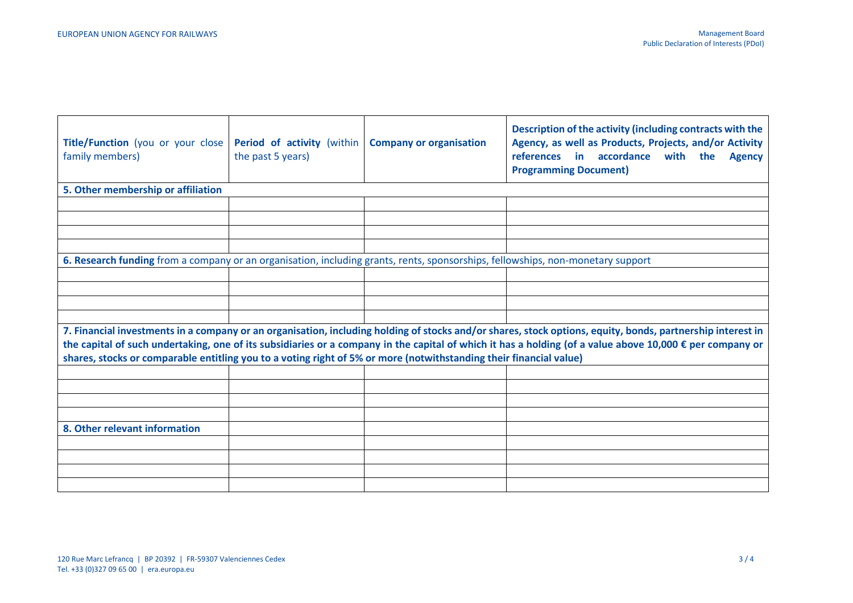| Title/Function (you or your close<br>family members)                                                                                                                                                                                                                                                                                                                                                                                         | Period of activity (within<br>the past 5 years) | <b>Company or organisation</b> | Description of the activity (including contracts with the<br>Agency, as well as Products, Projects, and/or Activity<br>references in accordance with the<br><b>Agency</b><br><b>Programming Document)</b> |  |  |
|----------------------------------------------------------------------------------------------------------------------------------------------------------------------------------------------------------------------------------------------------------------------------------------------------------------------------------------------------------------------------------------------------------------------------------------------|-------------------------------------------------|--------------------------------|-----------------------------------------------------------------------------------------------------------------------------------------------------------------------------------------------------------|--|--|
| 5. Other membership or affiliation                                                                                                                                                                                                                                                                                                                                                                                                           |                                                 |                                |                                                                                                                                                                                                           |  |  |
|                                                                                                                                                                                                                                                                                                                                                                                                                                              |                                                 |                                |                                                                                                                                                                                                           |  |  |
|                                                                                                                                                                                                                                                                                                                                                                                                                                              |                                                 |                                |                                                                                                                                                                                                           |  |  |
|                                                                                                                                                                                                                                                                                                                                                                                                                                              |                                                 |                                |                                                                                                                                                                                                           |  |  |
|                                                                                                                                                                                                                                                                                                                                                                                                                                              |                                                 |                                |                                                                                                                                                                                                           |  |  |
| 6. Research funding from a company or an organisation, including grants, rents, sponsorships, fellowships, non-monetary support                                                                                                                                                                                                                                                                                                              |                                                 |                                |                                                                                                                                                                                                           |  |  |
|                                                                                                                                                                                                                                                                                                                                                                                                                                              |                                                 |                                |                                                                                                                                                                                                           |  |  |
|                                                                                                                                                                                                                                                                                                                                                                                                                                              |                                                 |                                |                                                                                                                                                                                                           |  |  |
|                                                                                                                                                                                                                                                                                                                                                                                                                                              |                                                 |                                |                                                                                                                                                                                                           |  |  |
|                                                                                                                                                                                                                                                                                                                                                                                                                                              |                                                 |                                |                                                                                                                                                                                                           |  |  |
| 7. Financial investments in a company or an organisation, including holding of stocks and/or shares, stock options, equity, bonds, partnership interest in<br>the capital of such undertaking, one of its subsidiaries or a company in the capital of which it has a holding (of a value above 10,000 € per company or<br>shares, stocks or comparable entitling you to a voting right of 5% or more (notwithstanding their financial value) |                                                 |                                |                                                                                                                                                                                                           |  |  |
|                                                                                                                                                                                                                                                                                                                                                                                                                                              |                                                 |                                |                                                                                                                                                                                                           |  |  |
|                                                                                                                                                                                                                                                                                                                                                                                                                                              |                                                 |                                |                                                                                                                                                                                                           |  |  |
|                                                                                                                                                                                                                                                                                                                                                                                                                                              |                                                 |                                |                                                                                                                                                                                                           |  |  |
|                                                                                                                                                                                                                                                                                                                                                                                                                                              |                                                 |                                |                                                                                                                                                                                                           |  |  |
| 8. Other relevant information                                                                                                                                                                                                                                                                                                                                                                                                                |                                                 |                                |                                                                                                                                                                                                           |  |  |
|                                                                                                                                                                                                                                                                                                                                                                                                                                              |                                                 |                                |                                                                                                                                                                                                           |  |  |
|                                                                                                                                                                                                                                                                                                                                                                                                                                              |                                                 |                                |                                                                                                                                                                                                           |  |  |
|                                                                                                                                                                                                                                                                                                                                                                                                                                              |                                                 |                                |                                                                                                                                                                                                           |  |  |
|                                                                                                                                                                                                                                                                                                                                                                                                                                              |                                                 |                                |                                                                                                                                                                                                           |  |  |